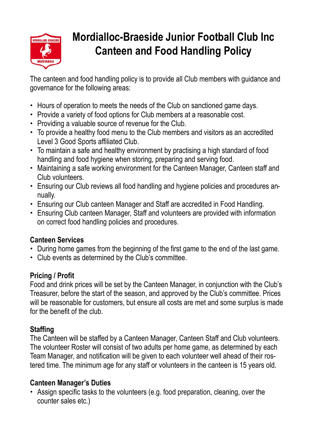

# **Mordialloc-Braeside Junior Football Club Inc Canteen and Food Handling Policy**

The canteen and food handling policy is to provide all Club members with guidance and governance for the following areas:

- Hours of operation to meets the needs of the Club on sanctioned game days.
- Provide a variety of food options for Club members at a reasonable cost.
- Providing a valuable source of revenue for the Club.
- To provide a healthy food menu to the Club members and visitors as an accredited Level 3 Good Sports affiliated Club.
- To maintain a safe and healthy environment by practising a high standard of food handling and food hygiene when storing, preparing and serving food.
- Maintaining a safe working environment for the Canteen Manager, Canteen staff and Club volunteers.
- Ensuring our Club reviews all food handling and hygiene policies and procedures annually.
- Ensuring our Club canteen Manager and Staff are accredited in Food Handling.
- Ensuring Club canteen Manager, Staff and volunteers are provided with information on correct food handling policies and procedures.

### **Canteen Services**

- During home games from the beginning of the first game to the end of the last game.
- Club events as determined by the Club's committee.

### **Pricing / Profit**

Food and drink prices will be set by the Canteen Manager, in conjunction with the Club's Treasurer, before the start of the season, and approved by the Club's committee. Prices will be reasonable for customers, but ensure all costs are met and some surplus is made for the benefit of the club.

# **Staffing**

The Canteen will be staffed by a Canteen Manager, Canteen Staff and Club volunteers. The volunteer Roster will consist of two adults per home game, as determined by each Team Manager, and notification will be given to each volunteer well ahead of their rostered time. The minimum age for any staff or volunteers in the canteen is 15 years old.

# **Canteen Manager's Duties**

• Assign specific tasks to the volunteers (e.g. food preparation, cleaning, over the counter sales etc.)